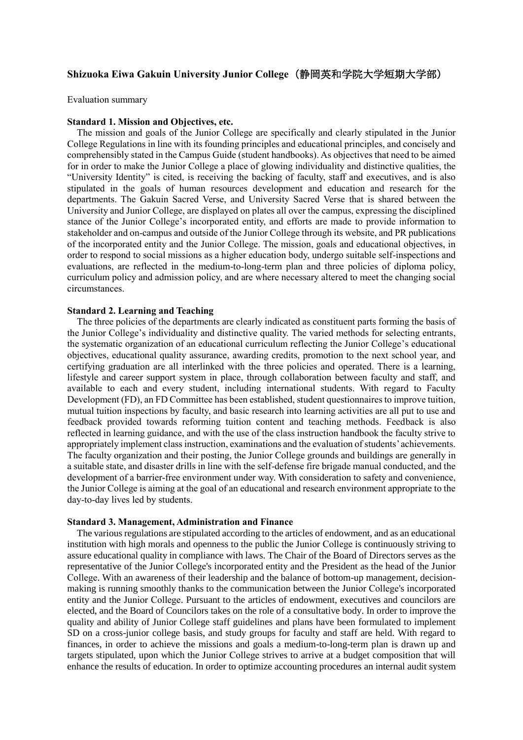# **Shizuoka Eiwa Gakuin University Junior College**(静岡英和学院大学短期大学部)

Evaluation summary

## **Standard 1. Mission and Objectives, etc.**

The mission and goals of the Junior College are specifically and clearly stipulated in the Junior College Regulations in line with its founding principles and educational principles, and concisely and comprehensibly stated in the Campus Guide (student handbooks). As objectives that need to be aimed for in order to make the Junior College a place of glowing individuality and distinctive qualities, the "University Identity" is cited, is receiving the backing of faculty, staff and executives, and is also stipulated in the goals of human resources development and education and research for the departments. The Gakuin Sacred Verse, and University Sacred Verse that is shared between the University and Junior College, are displayed on plates all over the campus, expressing the disciplined stance of the Junior College's incorporated entity, and efforts are made to provide information to stakeholder and on-campus and outside of the Junior College through its website, and PR publications of the incorporated entity and the Junior College. The mission, goals and educational objectives, in order to respond to social missions as a higher education body, undergo suitable self-inspections and evaluations, are reflected in the medium-to-long-term plan and three policies of diploma policy, curriculum policy and admission policy, and are where necessary altered to meet the changing social circumstances.

## **Standard 2. Learning and Teaching**

The three policies of the departments are clearly indicated as constituent parts forming the basis of the Junior College's individuality and distinctive quality. The varied methods for selecting entrants, the systematic organization of an educational curriculum reflecting the Junior College's educational objectives, educational quality assurance, awarding credits, promotion to the next school year, and certifying graduation are all interlinked with the three policies and operated. There is a learning, lifestyle and career support system in place, through collaboration between faculty and staff, and available to each and every student, including international students. With regard to Faculty Development (FD), an FD Committee has been established, student questionnaires to improve tuition, mutual tuition inspections by faculty, and basic research into learning activities are all put to use and feedback provided towards reforming tuition content and teaching methods. Feedback is also reflected in learning guidance, and with the use of the class instruction handbook the faculty strive to appropriately implement class instruction, examinations and the evaluation of students' achievements. The faculty organization and their posting, the Junior College grounds and buildings are generally in a suitable state, and disaster drills in line with the self-defense fire brigade manual conducted, and the development of a barrier-free environment under way. With consideration to safety and convenience, the Junior College is aiming at the goal of an educational and research environment appropriate to the day-to-day lives led by students.

#### **Standard 3. Management, Administration and Finance**

The various regulations are stipulated according to the articles of endowment, and as an educational institution with high morals and openness to the public the Junior College is continuously striving to assure educational quality in compliance with laws. The Chair of the Board of Directors serves as the representative of the Junior College's incorporated entity and the President as the head of the Junior College. With an awareness of their leadership and the balance of bottom-up management, decisionmaking is running smoothly thanks to the communication between the Junior College's incorporated entity and the Junior College. Pursuant to the articles of endowment, executives and councilors are elected, and the Board of Councilors takes on the role of a consultative body. In order to improve the quality and ability of Junior College staff guidelines and plans have been formulated to implement SD on a cross-junior college basis, and study groups for faculty and staff are held. With regard to finances, in order to achieve the missions and goals a medium-to-long-term plan is drawn up and targets stipulated, upon which the Junior College strives to arrive at a budget composition that will enhance the results of education. In order to optimize accounting procedures an internal audit system